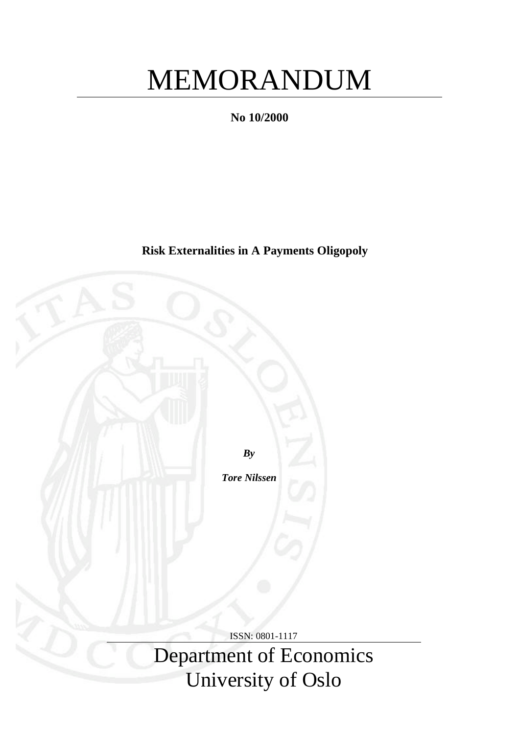# MEMORANDUM

**No 10/2000**

**Risk Externalities in A Payments Oligopoly**

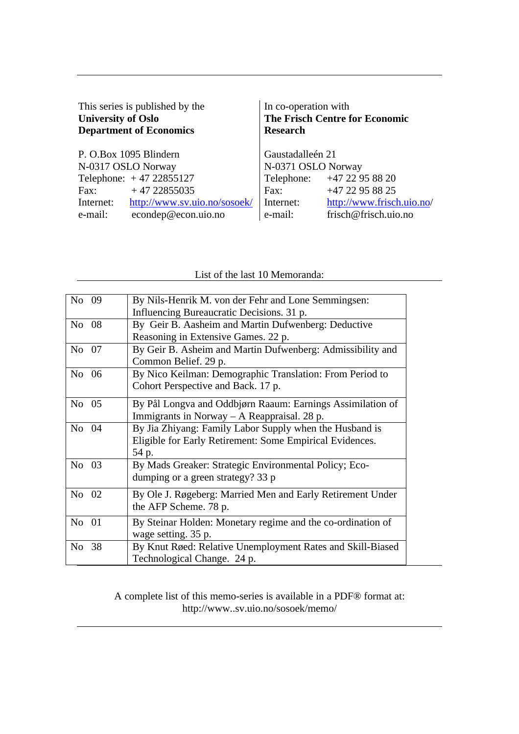| This series is published by the<br><b>University of Oslo</b><br><b>Department of Economics</b> | In co-operation with<br><b>Research</b> | The Frisch Centre for Economic |
|------------------------------------------------------------------------------------------------|-----------------------------------------|--------------------------------|
| P. O.Box 1095 Blindern                                                                         | Gaustadalleén 21                        |                                |
| N-0317 OSLO Norway                                                                             | N-0371 OSLO Norway                      |                                |
| Telephone: $+4722855127$                                                                       |                                         | Telephone: +47 22 95 88 20     |
| $+4722855035$<br>Fax:                                                                          | Fax:                                    | +47 22 95 88 25                |
| http://www.sv.uio.no/sosoek/<br>Internet:                                                      | Internet:                               | http://www.frisch.uio.no/      |
| econdep@econ.uio.no<br>e-mail:                                                                 | e-mail:                                 | frisch@frisch.uio.no           |

### List of the last 10 Memoranda:

A complete list of this memo-series is available in a PDF® format at: http://www..sv.uio.no/sosoek/memo/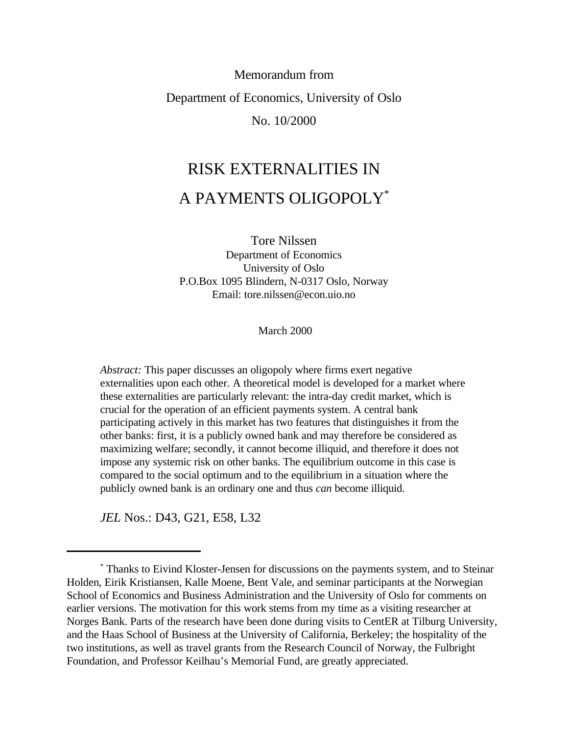## Memorandum from Department of Economics, University of Oslo No. 10/2000

# RISK EXTERNALITIES IN A PAYMENTS OLIGOPOLY\*

Tore Nilssen Department of Economics University of Oslo P.O.Box 1095 Blindern, N-0317 Oslo, Norway Email: tore.nilssen@econ.uio.no

March 2000

*Abstract:* This paper discusses an oligopoly where firms exert negative externalities upon each other. A theoretical model is developed for a market where these externalities are particularly relevant: the intra-day credit market, which is crucial for the operation of an efficient payments system. A central bank participating actively in this market has two features that distinguishes it from the other banks: first, it is a publicly owned bank and may therefore be considered as maximizing welfare; secondly, it cannot become illiquid, and therefore it does not impose any systemic risk on other banks. The equilibrium outcome in this case is compared to the social optimum and to the equilibrium in a situation where the publicly owned bank is an ordinary one and thus *can* become illiquid.

*JEL* Nos.: D43, G21, E58, L32

Thanks to Eivind Kloster-Jensen for discussions on the payments system, and to Steinar \* Holden, Eirik Kristiansen, Kalle Moene, Bent Vale, and seminar participants at the Norwegian School of Economics and Business Administration and the University of Oslo for comments on earlier versions. The motivation for this work stems from my time as a visiting researcher at Norges Bank. Parts of the research have been done during visits to CentER at Tilburg University, and the Haas School of Business at the University of California, Berkeley; the hospitality of the two institutions, as well as travel grants from the Research Council of Norway, the Fulbright Foundation, and Professor Keilhau's Memorial Fund, are greatly appreciated.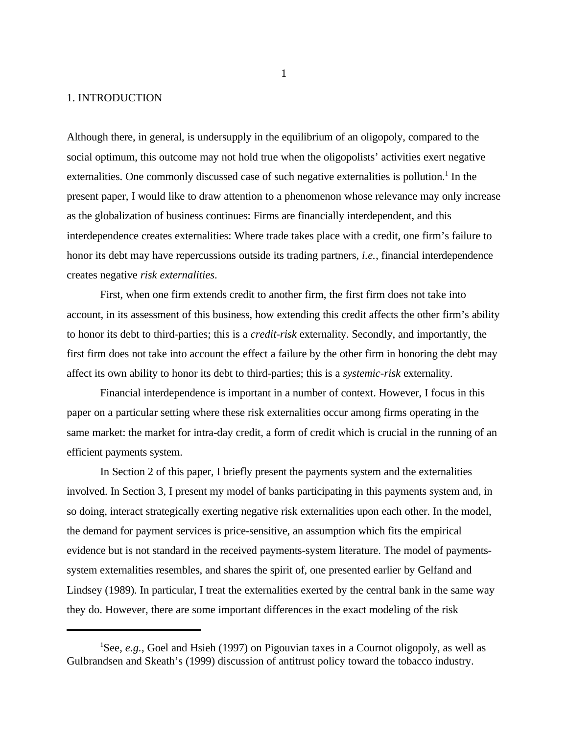#### 1. INTRODUCTION

Although there, in general, is undersupply in the equilibrium of an oligopoly, compared to the social optimum, this outcome may not hold true when the oligopolists' activities exert negative externalities. One commonly discussed case of such negative externalities is pollution.<sup>1</sup> In the present paper, I would like to draw attention to a phenomenon whose relevance may only increase as the globalization of business continues: Firms are financially interdependent, and this interdependence creates externalities: Where trade takes place with a credit, one firm's failure to honor its debt may have repercussions outside its trading partners, *i.e.*, financial interdependence creates negative *risk externalities*.

First, when one firm extends credit to another firm, the first firm does not take into account, in its assessment of this business, how extending this credit affects the other firm's ability to honor its debt to third-parties; this is a *credit-risk* externality. Secondly, and importantly, the first firm does not take into account the effect a failure by the other firm in honoring the debt may affect its own ability to honor its debt to third-parties; this is a *systemic-risk* externality.

Financial interdependence is important in a number of context. However, I focus in this paper on a particular setting where these risk externalities occur among firms operating in the same market: the market for intra-day credit, a form of credit which is crucial in the running of an efficient payments system.

In Section 2 of this paper, I briefly present the payments system and the externalities involved. In Section 3, I present my model of banks participating in this payments system and, in so doing, interact strategically exerting negative risk externalities upon each other. In the model, the demand for payment services is price-sensitive, an assumption which fits the empirical evidence but is not standard in the received payments-system literature. The model of paymentssystem externalities resembles, and shares the spirit of, one presented earlier by Gelfand and Lindsey (1989). In particular, I treat the externalities exerted by the central bank in the same way they do. However, there are some important differences in the exact modeling of the risk

<sup>&</sup>lt;sup>1</sup>See, *e.g.*, Goel and Hsieh (1997) on Pigouvian taxes in a Cournot oligopoly, as well as Gulbrandsen and Skeath's (1999) discussion of antitrust policy toward the tobacco industry.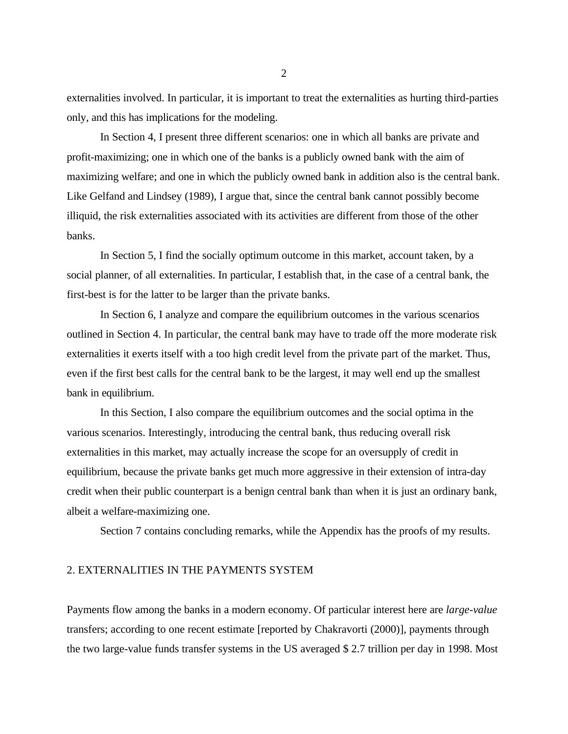externalities involved. In particular, it is important to treat the externalities as hurting third-parties only, and this has implications for the modeling.

In Section 4, I present three different scenarios: one in which all banks are private and profit-maximizing; one in which one of the banks is a publicly owned bank with the aim of maximizing welfare; and one in which the publicly owned bank in addition also is the central bank. Like Gelfand and Lindsey (1989), I argue that, since the central bank cannot possibly become illiquid, the risk externalities associated with its activities are different from those of the other banks.

In Section 5, I find the socially optimum outcome in this market, account taken, by a social planner, of all externalities. In particular, I establish that, in the case of a central bank, the first-best is for the latter to be larger than the private banks.

In Section 6, I analyze and compare the equilibrium outcomes in the various scenarios outlined in Section 4. In particular, the central bank may have to trade off the more moderate risk externalities it exerts itself with a too high credit level from the private part of the market. Thus, even if the first best calls for the central bank to be the largest, it may well end up the smallest bank in equilibrium.

In this Section, I also compare the equilibrium outcomes and the social optima in the various scenarios. Interestingly, introducing the central bank, thus reducing overall risk externalities in this market, may actually increase the scope for an oversupply of credit in equilibrium, because the private banks get much more aggressive in their extension of intra-day credit when their public counterpart is a benign central bank than when it is just an ordinary bank, albeit a welfare-maximizing one.

Section 7 contains concluding remarks, while the Appendix has the proofs of my results.

#### 2. EXTERNALITIES IN THE PAYMENTS SYSTEM

Payments flow among the banks in a modern economy. Of particular interest here are *large-value* transfers; according to one recent estimate [reported by Chakravorti (2000)], payments through the two large-value funds transfer systems in the US averaged \$ 2.7 trillion per day in 1998. Most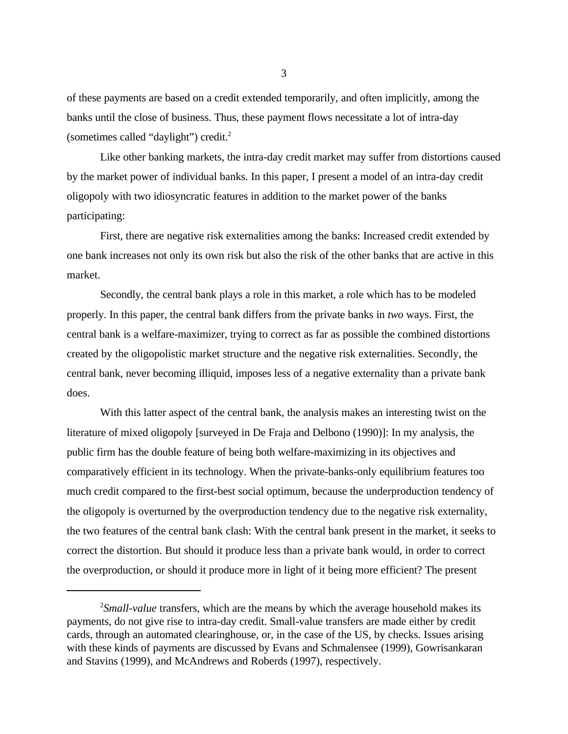of these payments are based on a credit extended temporarily, and often implicitly, among the banks until the close of business. Thus, these payment flows necessitate a lot of intra-day (sometimes called "daylight") credit.<sup>2</sup>

Like other banking markets, the intra-day credit market may suffer from distortions caused by the market power of individual banks. In this paper, I present a model of an intra-day credit oligopoly with two idiosyncratic features in addition to the market power of the banks participating:

First, there are negative risk externalities among the banks: Increased credit extended by one bank increases not only its own risk but also the risk of the other banks that are active in this market.

Secondly, the central bank plays a role in this market, a role which has to be modeled properly. In this paper, the central bank differs from the private banks in *two* ways. First, the central bank is a welfare-maximizer, trying to correct as far as possible the combined distortions created by the oligopolistic market structure and the negative risk externalities. Secondly, the central bank, never becoming illiquid, imposes less of a negative externality than a private bank does.

With this latter aspect of the central bank, the analysis makes an interesting twist on the literature of mixed oligopoly [surveyed in De Fraja and Delbono (1990)]: In my analysis, the public firm has the double feature of being both welfare-maximizing in its objectives and comparatively efficient in its technology. When the private-banks-only equilibrium features too much credit compared to the first-best social optimum, because the underproduction tendency of the oligopoly is overturned by the overproduction tendency due to the negative risk externality, the two features of the central bank clash: With the central bank present in the market, it seeks to correct the distortion. But should it produce less than a private bank would, in order to correct the overproduction, or should it produce more in light of it being more efficient? The present

<sup>&</sup>lt;sup>2</sup>Small-value transfers, which are the means by which the average household makes its payments, do not give rise to intra-day credit. Small-value transfers are made either by credit cards, through an automated clearinghouse, or, in the case of the US, by checks. Issues arising with these kinds of payments are discussed by Evans and Schmalensee (1999), Gowrisankaran and Stavins (1999), and McAndrews and Roberds (1997), respectively.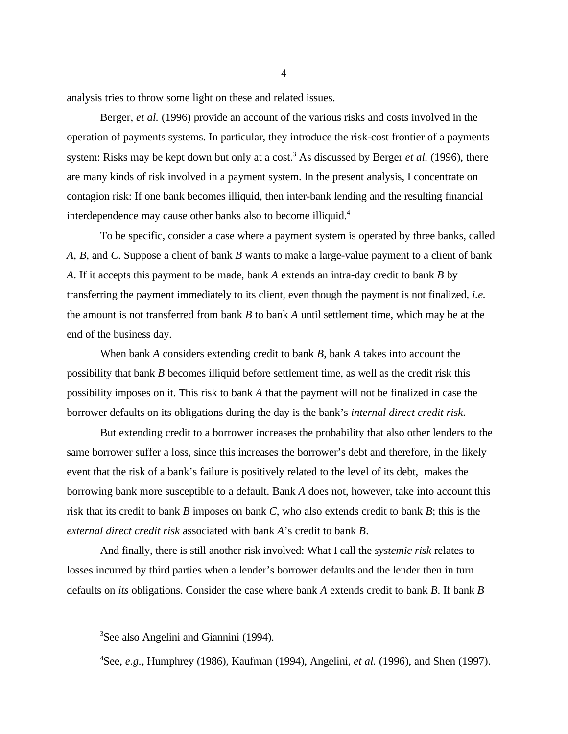analysis tries to throw some light on these and related issues.

Berger, *et al.* (1996) provide an account of the various risks and costs involved in the operation of payments systems. In particular, they introduce the risk-cost frontier of a payments system: Risks may be kept down but only at a cost.<sup>3</sup> As discussed by Berger *et al.* (1996), there are many kinds of risk involved in a payment system. In the present analysis, I concentrate on contagion risk: If one bank becomes illiquid, then inter-bank lending and the resulting financial interdependence may cause other banks also to become illiquid.<sup>4</sup>

To be specific, consider a case where a payment system is operated by three banks, called *A*, *B*, and *C*. Suppose a client of bank *B* wants to make a large-value payment to a client of bank *A*. If it accepts this payment to be made, bank *A* extends an intra-day credit to bank *B* by transferring the payment immediately to its client, even though the payment is not finalized, *i.e.* the amount is not transferred from bank *B* to bank *A* until settlement time, which may be at the end of the business day.

When bank *A* considers extending credit to bank *B*, bank *A* takes into account the possibility that bank *B* becomes illiquid before settlement time, as well as the credit risk this possibility imposes on it. This risk to bank *A* that the payment will not be finalized in case the borrower defaults on its obligations during the day is the bank's *internal direct credit risk*.

But extending credit to a borrower increases the probability that also other lenders to the same borrower suffer a loss, since this increases the borrower's debt and therefore, in the likely event that the risk of a bank's failure is positively related to the level of its debt, makes the borrowing bank more susceptible to a default. Bank *A* does not, however, take into account this risk that its credit to bank *B* imposes on bank *C*, who also extends credit to bank *B*; this is the *external direct credit risk* associated with bank *A*'s credit to bank *B*.

And finally, there is still another risk involved: What I call the *systemic risk* relates to losses incurred by third parties when a lender's borrower defaults and the lender then in turn defaults on *its* obligations. Consider the case where bank *A* extends credit to bank *B*. If bank *B*

 ${}^{3}$ See also Angelini and Giannini (1994).

See, *e.g.*, Humphrey (1986), Kaufman (1994), Angelini, *et al.* (1996), and Shen (1997). <sup>4</sup>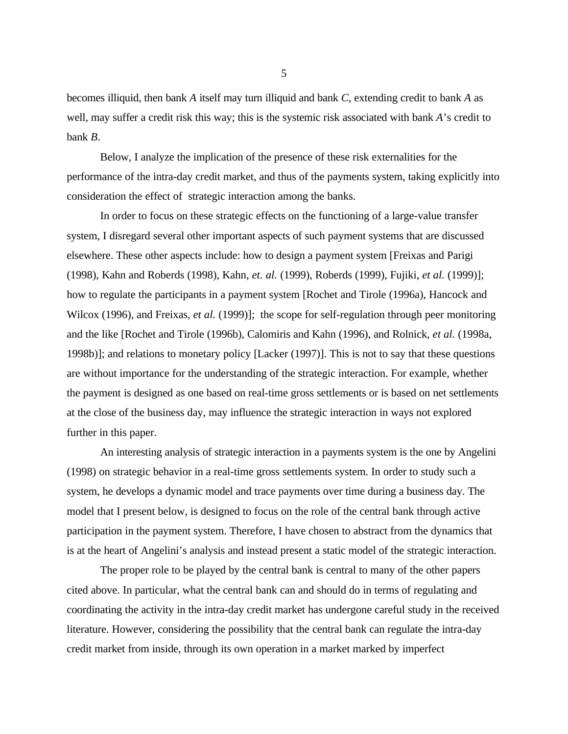becomes illiquid, then bank *A* itself may turn illiquid and bank *C*, extending credit to bank *A* as well, may suffer a credit risk this way; this is the systemic risk associated with bank *A*'s credit to bank *B*.

Below, I analyze the implication of the presence of these risk externalities for the performance of the intra-day credit market, and thus of the payments system, taking explicitly into consideration the effect of strategic interaction among the banks.

In order to focus on these strategic effects on the functioning of a large-value transfer system, I disregard several other important aspects of such payment systems that are discussed elsewhere. These other aspects include: how to design a payment system [Freixas and Parigi (1998), Kahn and Roberds (1998), Kahn, *et. al.* (1999), Roberds (1999), Fujiki, *et al.* (1999)]; how to regulate the participants in a payment system [Rochet and Tirole (1996a), Hancock and Wilcox (1996), and Freixas, *et al.* (1999)]; the scope for self-regulation through peer monitoring and the like [Rochet and Tirole (1996b), Calomiris and Kahn (1996), and Rolnick, *et al.* (1998a, 1998b)]; and relations to monetary policy [Lacker (1997)]. This is not to say that these questions are without importance for the understanding of the strategic interaction. For example, whether the payment is designed as one based on real-time gross settlements or is based on net settlements at the close of the business day, may influence the strategic interaction in ways not explored further in this paper.

An interesting analysis of strategic interaction in a payments system is the one by Angelini (1998) on strategic behavior in a real-time gross settlements system. In order to study such a system, he develops a dynamic model and trace payments over time during a business day. The model that I present below, is designed to focus on the role of the central bank through active participation in the payment system. Therefore, I have chosen to abstract from the dynamics that is at the heart of Angelini's analysis and instead present a static model of the strategic interaction.

The proper role to be played by the central bank is central to many of the other papers cited above. In particular, what the central bank can and should do in terms of regulating and coordinating the activity in the intra-day credit market has undergone careful study in the received literature. However, considering the possibility that the central bank can regulate the intra-day credit market from inside, through its own operation in a market marked by imperfect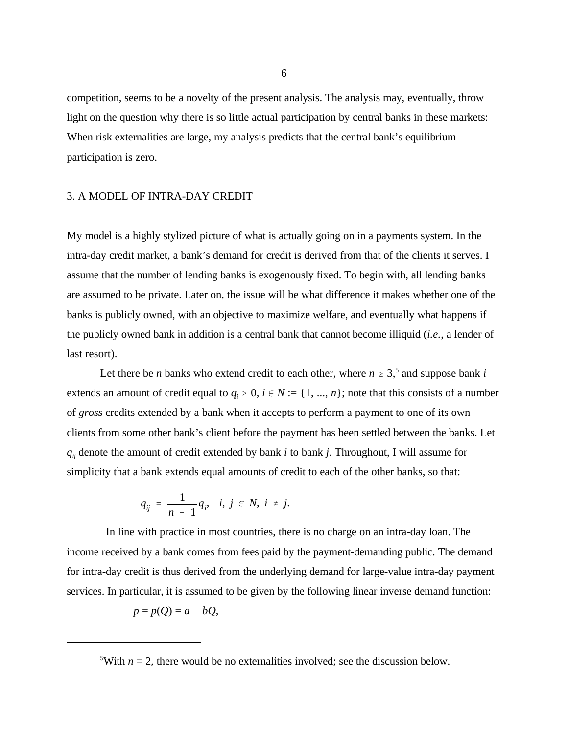competition, seems to be a novelty of the present analysis. The analysis may, eventually, throw light on the question why there is so little actual participation by central banks in these markets: When risk externalities are large, my analysis predicts that the central bank's equilibrium participation is zero.

#### 3. A MODEL OF INTRA-DAY CREDIT

My model is a highly stylized picture of what is actually going on in a payments system. In the intra-day credit market, a bank's demand for credit is derived from that of the clients it serves. I assume that the number of lending banks is exogenously fixed. To begin with, all lending banks are assumed to be private. Later on, the issue will be what difference it makes whether one of the banks is publicly owned, with an objective to maximize welfare, and eventually what happens if the publicly owned bank in addition is a central bank that cannot become illiquid (*i.e.*, a lender of last resort).

Let there be *n* banks who extend credit to each other, where  $n \geq 3$ , and suppose bank *i* extends an amount of credit equal to  $q_i \geq 0$ ,  $i \in N := \{1, ..., n\}$ ; note that this consists of a number of *gross* credits extended by a bank when it accepts to perform a payment to one of its own clients from some other bank's client before the payment has been settled between the banks. Let  $q_{ij}$  denote the amount of credit extended by bank *i* to bank *j*. Throughout, I will assume for simplicity that a bank extends equal amounts of credit to each of the other banks, so that:

$$
q_{ij} = \frac{1}{n-1} q_i, \quad i, j \in N, \ i \neq j.
$$

 In line with practice in most countries, there is no charge on an intra-day loan. The income received by a bank comes from fees paid by the payment-demanding public. The demand for intra-day credit is thus derived from the underlying demand for large-value intra-day payment services. In particular, it is assumed to be given by the following linear inverse demand function:

$$
p = p(Q) = a - bQ,
$$

<sup>&</sup>lt;sup>5</sup>With  $n = 2$ , there would be no externalities involved; see the discussion below.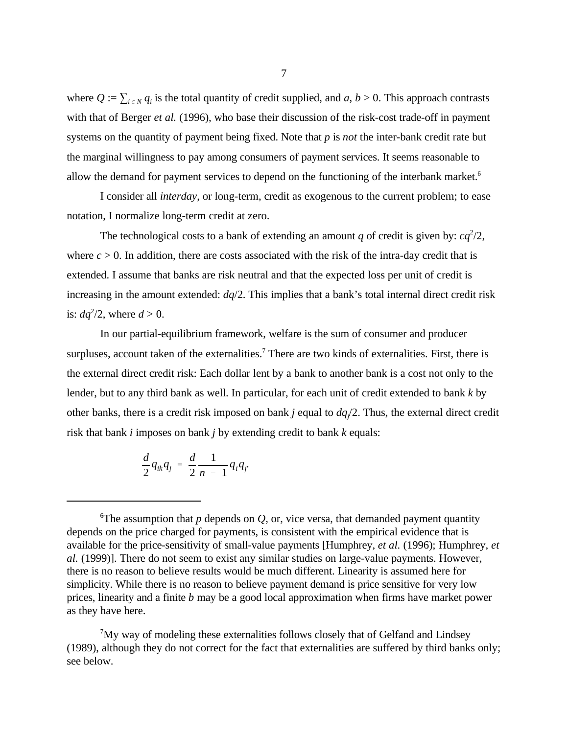where  $Q := \sum_{i \in N} q_i$  is the total quantity of credit supplied, and *a*,  $b > 0$ . This approach contrasts with that of Berger *et al.* (1996), who base their discussion of the risk-cost trade-off in payment systems on the quantity of payment being fixed. Note that *p* is *not* the inter-bank credit rate but the marginal willingness to pay among consumers of payment services. It seems reasonable to allow the demand for payment services to depend on the functioning of the interbank market.<sup>6</sup>

I consider all *interday*, or long-term, credit as exogenous to the current problem; to ease notation, I normalize long-term credit at zero.

The technological costs to a bank of extending an amount *q* of credit is given by:  $ca^2/2$ , where  $c > 0$ . In addition, there are costs associated with the risk of the intra-day credit that is extended. I assume that banks are risk neutral and that the expected loss per unit of credit is increasing in the amount extended: *dq*/2. This implies that a bank's total internal direct credit risk is:  $dq^2/2$ , where  $d > 0$ .

In our partial-equilibrium framework, welfare is the sum of consumer and producer surpluses, account taken of the externalities.<sup>7</sup> There are two kinds of externalities. First, there is the external direct credit risk: Each dollar lent by a bank to another bank is a cost not only to the lender, but to any third bank as well. In particular, for each unit of credit extended to bank *k* by other banks, there is a credit risk imposed on bank *j* equal to *dq* /2. Thus, the external direct credit *<sup>j</sup>* risk that bank *i* imposes on bank *j* by extending credit to bank *k* equals:

$$
\frac{d}{2}q_{ik}q_j = \frac{d}{2}\frac{1}{n-1}q_iq_j
$$

 $\gamma$ My way of modeling these externalities follows closely that of Gelfand and Lindsey (1989), although they do not correct for the fact that externalities are suffered by third banks only; see below.

<sup>&</sup>lt;sup>6</sup>The assumption that  $p$  depends on  $Q$ , or, vice versa, that demanded payment quantity depends on the price charged for payments, is consistent with the empirical evidence that is available for the price-sensitivity of small-value payments [Humphrey, *et al.* (1996); Humphrey, *et al.* (1999)]. There do not seem to exist any similar studies on large-value payments. However, there is no reason to believe results would be much different. Linearity is assumed here for simplicity. While there is no reason to believe payment demand is price sensitive for very low prices, linearity and a finite *b* may be a good local approximation when firms have market power as they have here.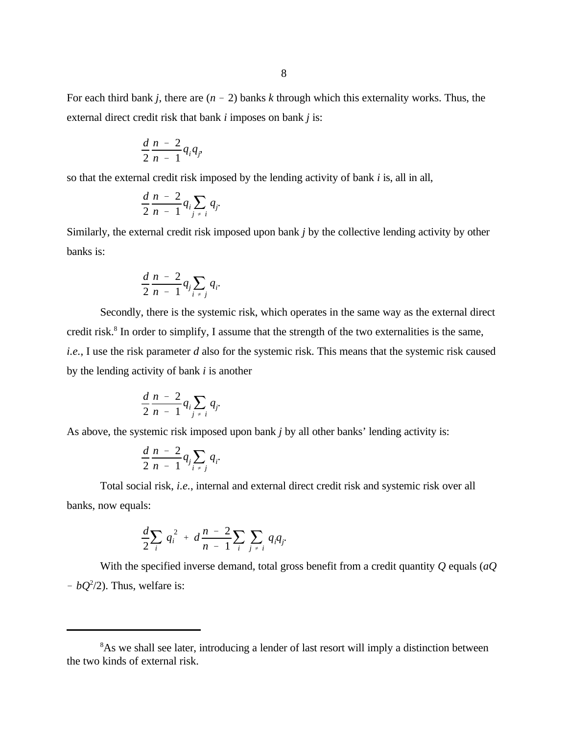For each third bank *j*, there are  $(n - 2)$  banks *k* through which this externality works. Thus, the external direct credit risk that bank *i* imposes on bank *j* is:

$$
\frac{d}{2}\frac{n-2}{n-1}q_iq_j,
$$

so that the external credit risk imposed by the lending activity of bank *i* is, all in all,

$$
\frac{d}{2}\frac{n-2}{n-1}q_i\sum_{j\neq i}q_j
$$

Similarly, the external credit risk imposed upon bank *j* by the collective lending activity by other banks is:

$$
\frac{d}{2}\frac{n-2}{n-1}q_j\sum_{i\neq j}q_i
$$

Secondly, there is the systemic risk, which operates in the same way as the external direct credit risk.<sup>8</sup> In order to simplify, I assume that the strength of the two externalities is the same, *i.e.*, I use the risk parameter *d* also for the systemic risk. This means that the systemic risk caused by the lending activity of bank *i* is another

$$
\frac{d}{2}\frac{n-2}{n-1}q_i\sum_{j\neq i}q_j.
$$

As above, the systemic risk imposed upon bank *j* by all other banks' lending activity is:

$$
\frac{d}{2}\frac{n-2}{n-1}q_i\sum_{i\neq j}q_i.
$$

Total social risk, *i.e.*, internal and external direct credit risk and systemic risk over all banks, now equals:

$$
\frac{d}{2}\sum_{i} q_{i}^{2} + d\frac{n-2}{n-1}\sum_{i}\sum_{j \neq i} q_{i}q_{j}.
$$

With the specified inverse demand, total gross benefit from a credit quantity *Q* equals (*aQ*  $-$  *bQ*<sup>2</sup>/2). Thus, welfare is:

<sup>&</sup>lt;sup>8</sup>As we shall see later, introducing a lender of last resort will imply a distinction between the two kinds of external risk.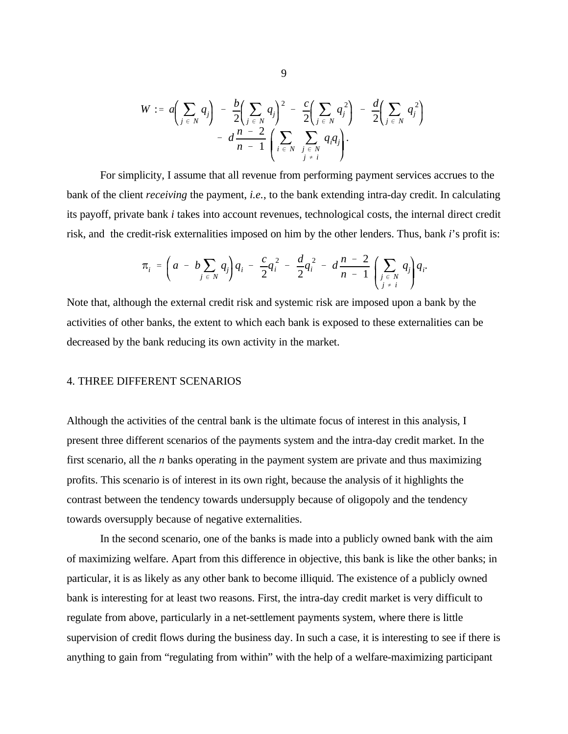$$
W := a\left(\sum_{j \in N} q_j\right) - \frac{b}{2}\left(\sum_{j \in N} q_j\right)^2 - \frac{c}{2}\left(\sum_{j \in N} q_j^2\right) - \frac{d}{2}\left(\sum_{j \in N} q_j^2\right) - d\left(\frac{n-2}{n-1}\left(\sum_{i \in N} \sum_{\substack{j \in N \ j \neq i}} q_j q_j\right)\right).
$$

For simplicity, I assume that all revenue from performing payment services accrues to the bank of the client *receiving* the payment, *i.e.*, to the bank extending intra-day credit. In calculating its payoff, private bank *i* takes into account revenues, technological costs, the internal direct credit risk, and the credit-risk externalities imposed on him by the other lenders. Thus, bank *i*'s profit is:

$$
\pi_i = \left(a - b \sum_{j \in N} q_j\right) q_i - \frac{c}{2} q_i^2 - \frac{d}{2} q_i^2 - d \frac{n-2}{n-1} \left(\sum_{\substack{j \in N \ j \neq i}} q_j\right) q_i.
$$

Note that, although the external credit risk and systemic risk are imposed upon a bank by the activities of other banks, the extent to which each bank is exposed to these externalities can be decreased by the bank reducing its own activity in the market.

#### 4. THREE DIFFERENT SCENARIOS

Although the activities of the central bank is the ultimate focus of interest in this analysis, I present three different scenarios of the payments system and the intra-day credit market. In the first scenario, all the *n* banks operating in the payment system are private and thus maximizing profits. This scenario is of interest in its own right, because the analysis of it highlights the contrast between the tendency towards undersupply because of oligopoly and the tendency towards oversupply because of negative externalities.

In the second scenario, one of the banks is made into a publicly owned bank with the aim of maximizing welfare. Apart from this difference in objective, this bank is like the other banks; in particular, it is as likely as any other bank to become illiquid. The existence of a publicly owned bank is interesting for at least two reasons. First, the intra-day credit market is very difficult to regulate from above, particularly in a net-settlement payments system, where there is little supervision of credit flows during the business day. In such a case, it is interesting to see if there is anything to gain from "regulating from within" with the help of a welfare-maximizing participant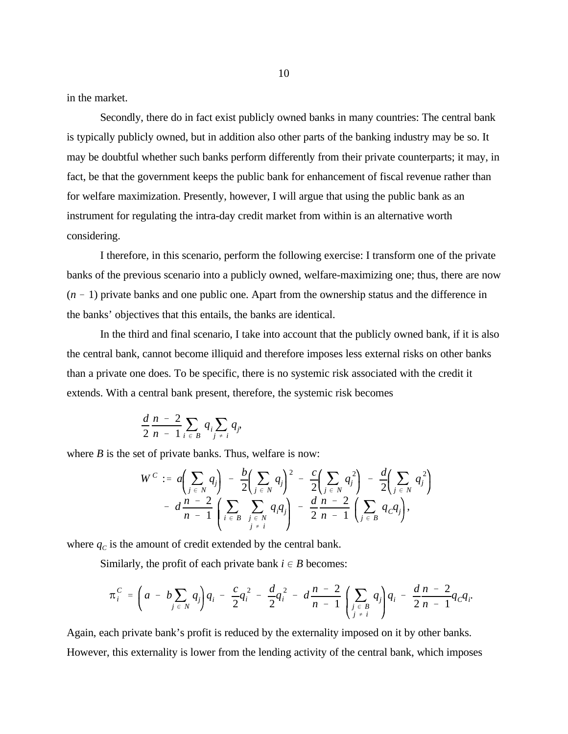in the market.

Secondly, there do in fact exist publicly owned banks in many countries: The central bank is typically publicly owned, but in addition also other parts of the banking industry may be so. It may be doubtful whether such banks perform differently from their private counterparts; it may, in fact, be that the government keeps the public bank for enhancement of fiscal revenue rather than for welfare maximization. Presently, however, I will argue that using the public bank as an instrument for regulating the intra-day credit market from within is an alternative worth considering.

I therefore, in this scenario, perform the following exercise: I transform one of the private banks of the previous scenario into a publicly owned, welfare-maximizing one; thus, there are now  $(n - 1)$  private banks and one public one. Apart from the ownership status and the difference in the banks' objectives that this entails, the banks are identical.

In the third and final scenario, I take into account that the publicly owned bank, if it is also the central bank, cannot become illiquid and therefore imposes less external risks on other banks than a private one does. To be specific, there is no systemic risk associated with the credit it extends. With a central bank present, therefore, the systemic risk becomes

$$
\frac{d}{2}\frac{n-2}{n-1}\sum_{i\in B}q_i\sum_{j\neq i}q_j,
$$

where  $B$  is the set of private banks. Thus, welfare is now:

$$
W^{C} := a \left( \sum_{j \in N} q_{j} \right) - \frac{b}{2} \left( \sum_{j \in N} q_{j} \right)^{2} - \frac{c}{2} \left( \sum_{j \in N} q_{j}^{2} \right) - \frac{d}{2} \left( \sum_{j \in N} q_{j}^{2} \right) - d \frac{n-2}{n-1} \left( \sum_{j \in B} \sum_{\substack{j \in N \ j \neq i}} q_{j}^{2} \right) - \frac{d}{2} \frac{n-2}{n-1} \left( \sum_{j \in B} q_{C} q_{j} \right),
$$

where  $q_c$  is the amount of credit extended by the central bank.

Similarly, the profit of each private bank  $i \in B$  becomes:

$$
\pi_i^C = \left(a - b \sum_{j \in N} q_j\right) q_i - \frac{c}{2} q_i^2 - \frac{d}{2} q_i^2 - d \frac{n-2}{n-1} \left(\sum_{\substack{j \in B \\ j \neq i}} q_j\right) q_i - \frac{d}{2} \frac{n-2}{n-1} q_c q_i.
$$

Again, each private bank's profit is reduced by the externality imposed on it by other banks. However, this externality is lower from the lending activity of the central bank, which imposes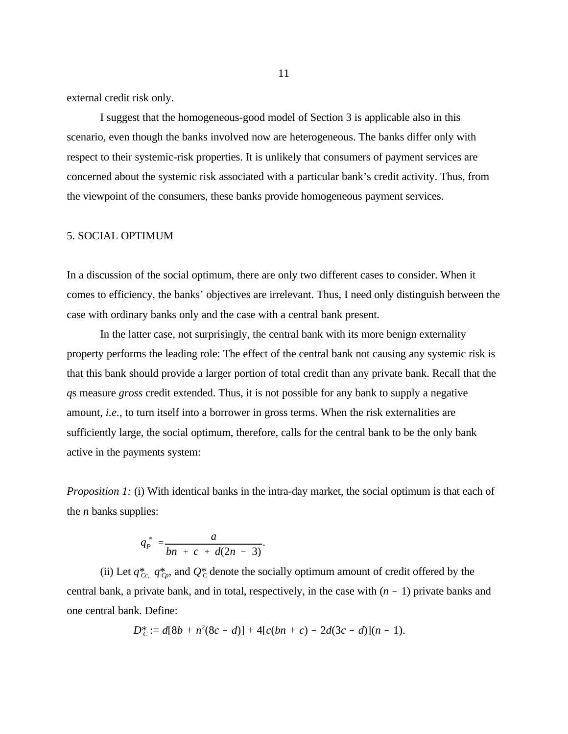external credit risk only.

I suggest that the homogeneous-good model of Section 3 is applicable also in this scenario, even though the banks involved now are heterogeneous. The banks differ only with respect to their systemic-risk properties. It is unlikely that consumers of payment services are concerned about the systemic risk associated with a particular bank's credit activity. Thus, from the viewpoint of the consumers, these banks provide homogeneous payment services.

#### 5. SOCIAL OPTIMUM

In a discussion of the social optimum, there are only two different cases to consider. When it comes to efficiency, the banks' objectives are irrelevant. Thus, I need only distinguish between the case with ordinary banks only and the case with a central bank present.

In the latter case, not surprisingly, the central bank with its more benign externality property performs the leading role: The effect of the central bank not causing any systemic risk is that this bank should provide a larger portion of total credit than any private bank. Recall that the *q*s measure *gross* credit extended. Thus, it is not possible for any bank to supply a negative amount, *i.e.*, to turn itself into a borrower in gross terms. When the risk externalities are sufficiently large, the social optimum, therefore, calls for the central bank to be the only bank active in the payments system:

*Proposition 1:* (i) With identical banks in the intra-day market, the social optimum is that each of the *n* banks supplies:

$$
q_p^* = \frac{a}{bn + c + d(2n - 3)}.
$$

(ii) Let  $q_{\text{C}c}^*$   $q_{\text{C}p}^*$ , and  $Q_c^*$  denote the socially optimum amount of credit offered by the central bank, a private bank, and in total, respectively, in the case with  $(n - 1)$  private banks and one central bank. Define:

$$
D_C^* := d[8b + n^2(8c - d)] + 4[c(bn + c) - 2d(3c - d)](n - 1).
$$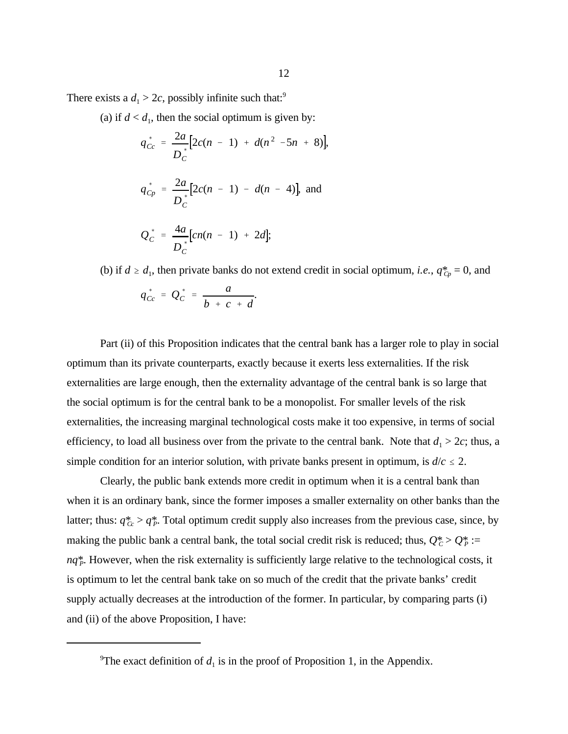There exists a  $d_1 > 2c$ , possibly infinite such that:<sup>9</sup>

(a) if  $d < d_1$ , then the social optimum is given by:

$$
q_{Cc}^{*} = \frac{2a}{D_{C}^{*}} [2c(n - 1) + d(n^{2} - 5n + 8)],
$$
  
\n
$$
q_{Cp}^{*} = \frac{2a}{D_{C}^{*}} [2c(n - 1) - d(n - 4)],
$$
 and  
\n
$$
Q_{C}^{*} = \frac{4a}{D_{C}^{*}} [cn(n - 1) + 2d];
$$

 $q_{Cc}^* = Q_c^*$  $C^{-}$ *a*  $\frac{a}{b + c + d}$ . (b) if  $d \geq d_1$ , then private banks do not extend credit in social optimum, *i.e.*,  $q_{C_p}^* = 0$ , and

Part (ii) of this Proposition indicates that the central bank has a larger role to play in social optimum than its private counterparts, exactly because it exerts less externalities. If the risk externalities are large enough, then the externality advantage of the central bank is so large that the social optimum is for the central bank to be a monopolist. For smaller levels of the risk externalities, the increasing marginal technological costs make it too expensive, in terms of social efficiency, to load all business over from the private to the central bank. Note that  $d_1 > 2c$ ; thus, a simple condition for an interior solution, with private banks present in optimum, is  $d/c \leq 2$ .

Clearly, the public bank extends more credit in optimum when it is a central bank than when it is an ordinary bank, since the former imposes a smaller externality on other banks than the latter; thus:  $q_{\text{Cc}}^* > q_{\text{P}}^*$ . Total optimum credit supply also increases from the previous case, since, by making the public bank a central bank, the total social credit risk is reduced; thus,  $Q_c^* > Q_P^* :=$ *nq*\*. However, when the risk externality is sufficiently large relative to the technological costs, it *<sup>P</sup>* is optimum to let the central bank take on so much of the credit that the private banks' credit supply actually decreases at the introduction of the former. In particular, by comparing parts (i) and (ii) of the above Proposition, I have:

<sup>&</sup>lt;sup>9</sup>The exact definition of  $d_1$  is in the proof of Proposition 1, in the Appendix.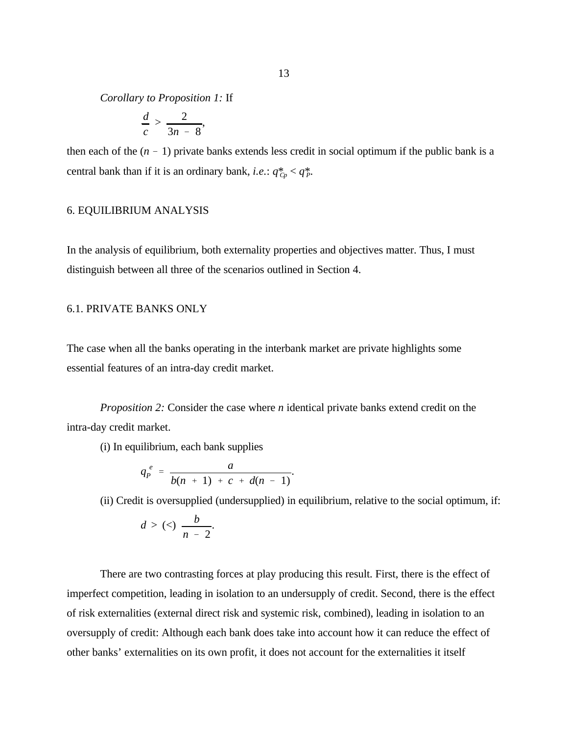*Corollary to Proposition 1:* If

$$
\frac{d}{c} > \frac{2}{3n-8},
$$

then each of the  $(n - 1)$  private banks extends less credit in social optimum if the public bank is a central bank than if it is an ordinary bank, *i.e.*:  $q_{C_p}^* < q_P^*$ .

#### 6. EQUILIBRIUM ANALYSIS

In the analysis of equilibrium, both externality properties and objectives matter. Thus, I must distinguish between all three of the scenarios outlined in Section 4.

#### 6.1. PRIVATE BANKS ONLY

The case when all the banks operating in the interbank market are private highlights some essential features of an intra-day credit market.

*Proposition 2:* Consider the case where *n* identical private banks extend credit on the intra-day credit market.

(i) In equilibrium, each bank supplies

$$
q_P^e = \frac{a}{b(n+1) + c + d(n-1)}.
$$

(ii) Credit is oversupplied (undersupplied) in equilibrium, relative to the social optimum, if:

$$
d>(<)\frac{b}{n-2}.
$$

There are two contrasting forces at play producing this result. First, there is the effect of imperfect competition, leading in isolation to an undersupply of credit. Second, there is the effect of risk externalities (external direct risk and systemic risk, combined), leading in isolation to an oversupply of credit: Although each bank does take into account how it can reduce the effect of other banks' externalities on its own profit, it does not account for the externalities it itself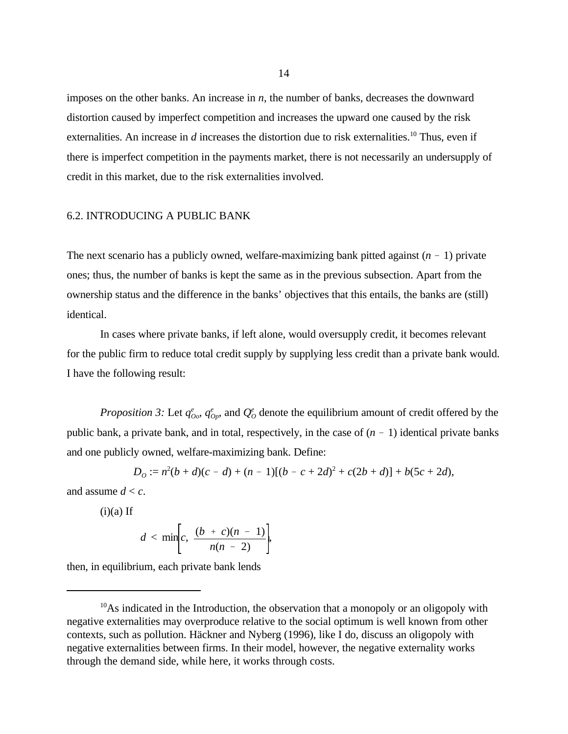imposes on the other banks. An increase in *n*, the number of banks, decreases the downward distortion caused by imperfect competition and increases the upward one caused by the risk externalities. An increase in  $d$  increases the distortion due to risk externalities.<sup>10</sup> Thus, even if there is imperfect competition in the payments market, there is not necessarily an undersupply of credit in this market, due to the risk externalities involved.

#### 6.2. INTRODUCING A PUBLIC BANK

The next scenario has a publicly owned, welfare-maximizing bank pitted against  $(n - 1)$  private ones; thus, the number of banks is kept the same as in the previous subsection. Apart from the ownership status and the difference in the banks' objectives that this entails, the banks are (still) identical.

In cases where private banks, if left alone, would oversupply credit, it becomes relevant for the public firm to reduce total credit supply by supplying less credit than a private bank would. I have the following result:

*Proposition 3:* Let  $q^e_{oo}$ ,  $q^e_{op}$ , and  $Q^e_{o}$  denote the equilibrium amount of credit offered by the public bank, a private bank, and in total, respectively, in the case of  $(n - 1)$  identical private banks and one publicly owned, welfare-maximizing bank. Define:

$$
D_0 := n^2(b+d)(c-d) + (n-1)[(b-c+2d)^2 + c(2b+d)] + b(5c+2d),
$$

and assume  $d < c$ .

$$
(i)(a) If
$$

$$
d < \min\biggl[c, \frac{(b + c)(n - 1)}{n(n - 2)}\biggr],
$$

then, in equilibrium, each private bank lends

 $^{10}$ As indicated in the Introduction, the observation that a monopoly or an oligopoly with negative externalities may overproduce relative to the social optimum is well known from other contexts, such as pollution. Häckner and Nyberg (1996), like I do, discuss an oligopoly with negative externalities between firms. In their model, however, the negative externality works through the demand side, while here, it works through costs.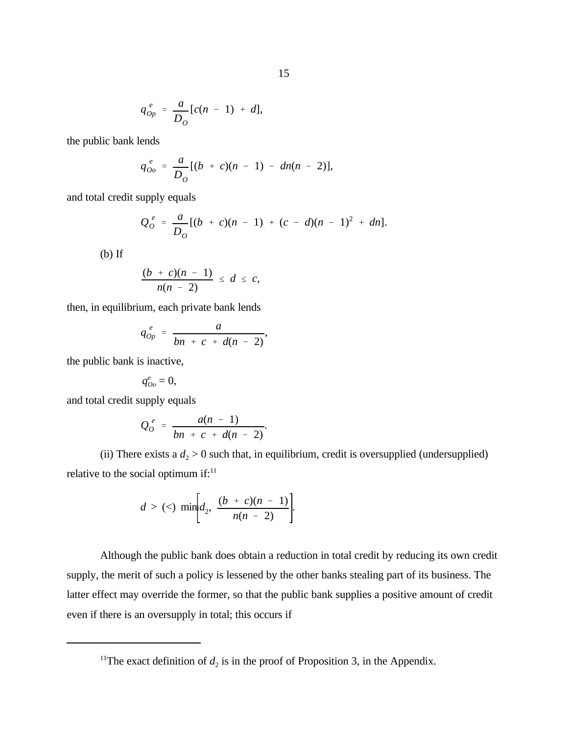$$
q_{Op}^e = \frac{a}{D_o} [c(n-1) + d],
$$

the public bank lends

$$
q_{00}^e = \frac{a}{D_0} [(b + c)(n - 1) - dn(n - 2)],
$$

and total credit supply equals

$$
Q_o^e = \frac{a}{D_o} [(b + c)(n - 1) + (c - d)(n - 1)^2 + dn].
$$

(b) If

$$
\frac{(b + c)(n - 1)}{n(n - 2)} \leq d \leq c,
$$

then, in equilibrium, each private bank lends

$$
q_{Op}^e = \frac{a}{bn + c + d(n-2)},
$$

the public bank is inactive,

$$
q_{Oo}^e=0,\quad
$$

and total credit supply equals

$$
Q_o^e = \frac{a(n-1)}{bn + c + d(n-2)}.
$$

(ii) There exists a  $d_2 > 0$  such that, in equilibrium, credit is oversupplied (undersupplied) relative to the social optimum if: $11$ 

$$
d > (<) \min \biggl\{ d_2, \frac{(b + c)(n - 1)}{n(n - 2)} \biggr\}
$$

Although the public bank does obtain a reduction in total credit by reducing its own credit supply, the merit of such a policy is lessened by the other banks stealing part of its business. The latter effect may override the former, so that the public bank supplies a positive amount of credit even if there is an oversupply in total; this occurs if

<sup>&</sup>lt;sup>11</sup>The exact definition of  $d_2$  is in the proof of Proposition 3, in the Appendix.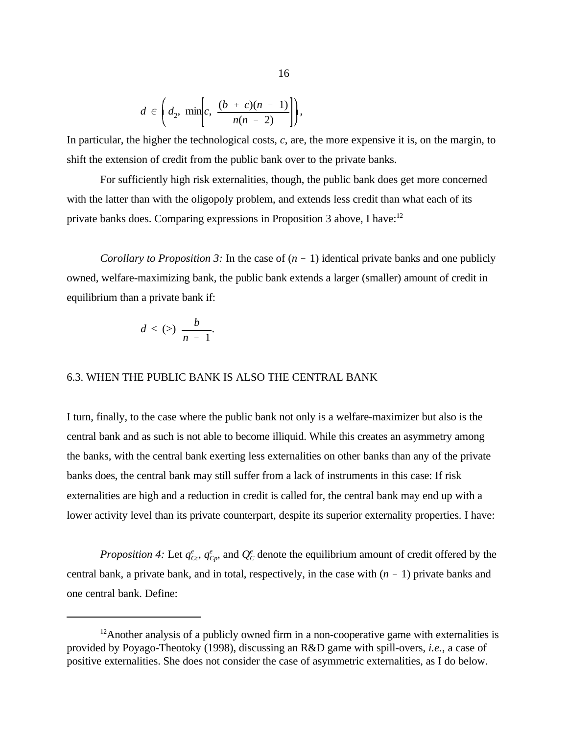$$
d \in \left(d_2, \min\left[c, \frac{(b + c)(n - 1)}{n(n - 2)}\right]\right),\,
$$

In particular, the higher the technological costs, *c*, are, the more expensive it is, on the margin, to shift the extension of credit from the public bank over to the private banks.

For sufficiently high risk externalities, though, the public bank does get more concerned with the latter than with the oligopoly problem, and extends less credit than what each of its private banks does. Comparing expressions in Proposition 3 above, I have:<sup>12</sup>

*Corollary to Proposition 3:* In the case of  $(n - 1)$  identical private banks and one publicly owned, welfare-maximizing bank, the public bank extends a larger (smaller) amount of credit in equilibrium than a private bank if:

$$
d < (>)\frac{b}{n-1}.
$$

#### 6.3. WHEN THE PUBLIC BANK IS ALSO THE CENTRAL BANK

I turn, finally, to the case where the public bank not only is a welfare-maximizer but also is the central bank and as such is not able to become illiquid. While this creates an asymmetry among the banks, with the central bank exerting less externalities on other banks than any of the private banks does, the central bank may still suffer from a lack of instruments in this case: If risk externalities are high and a reduction in credit is called for, the central bank may end up with a lower activity level than its private counterpart, despite its superior externality properties. I have:

*Proposition 4:* Let  $q_{cc}^e$ ,  $q_{C_p}^e$ , and  $Q_c^e$  denote the equilibrium amount of credit offered by the central bank, a private bank, and in total, respectively, in the case with  $(n - 1)$  private banks and one central bank. Define:

 $12$ Another analysis of a publicly owned firm in a non-cooperative game with externalities is provided by Poyago-Theotoky (1998), discussing an R&D game with spill-overs, *i.e.*, a case of positive externalities. She does not consider the case of asymmetric externalities, as I do below.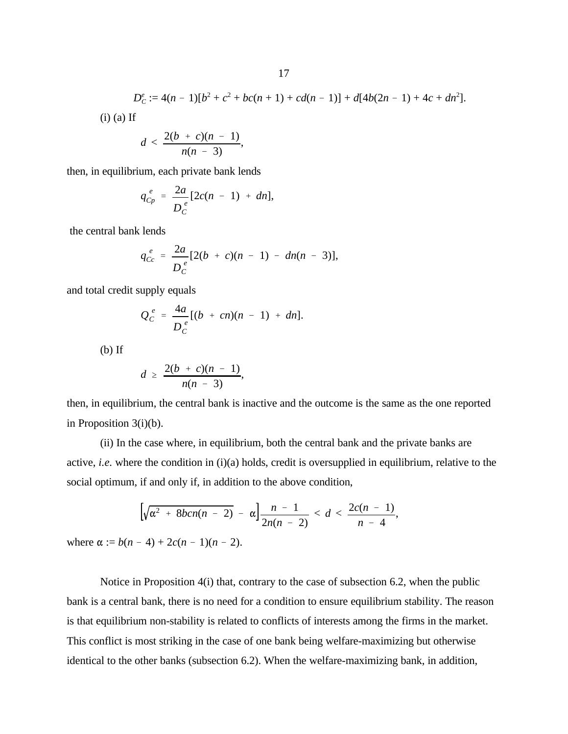$$
D_C^e := 4(n-1)[b^2 + c^2 + bc(n+1) + cd(n-1)] + d[4b(2n-1) + 4c + dn^2].
$$
  
(i) (a) If  

$$
d < \frac{2(b+c)(n-1)}{2m},
$$

then, in equilibrium, each private bank lends

$$
q_{Cp}^{\ e} = \frac{2a}{D_c^{\ e}} [2c(n-1) + dn],
$$

 $n(n - 3)$ 

the central bank lends

$$
q_{Cc}^e = \frac{2a}{D_c^e} [2(b + c)(n - 1) - dn(n - 3)],
$$

and total credit supply equals

$$
Q_c^e = \frac{4a}{D_c^e} [(b + cn)(n - 1) + dn].
$$

 $(b)$  If

$$
d \geq \frac{2(b + c)(n - 1)}{n(n - 3)},
$$

then, in equilibrium, the central bank is inactive and the outcome is the same as the one reported in Proposition 3(i)(b).

(ii) In the case where, in equilibrium, both the central bank and the private banks are active, *i.e.* where the condition in (i)(a) holds, credit is oversupplied in equilibrium, relative to the social optimum, if and only if, in addition to the above condition,

$$
\left[\sqrt{\alpha^2 + 8bcn(n-2)} - \alpha\right] \frac{n-1}{2n(n-2)} < d < \frac{2c(n-1)}{n-4},
$$

where  $\alpha := b(n - 4) + 2c(n - 1)(n - 2)$ .

Notice in Proposition 4(i) that, contrary to the case of subsection 6.2, when the public bank is a central bank, there is no need for a condition to ensure equilibrium stability. The reason is that equilibrium non-stability is related to conflicts of interests among the firms in the market. This conflict is most striking in the case of one bank being welfare-maximizing but otherwise identical to the other banks (subsection 6.2). When the welfare-maximizing bank, in addition,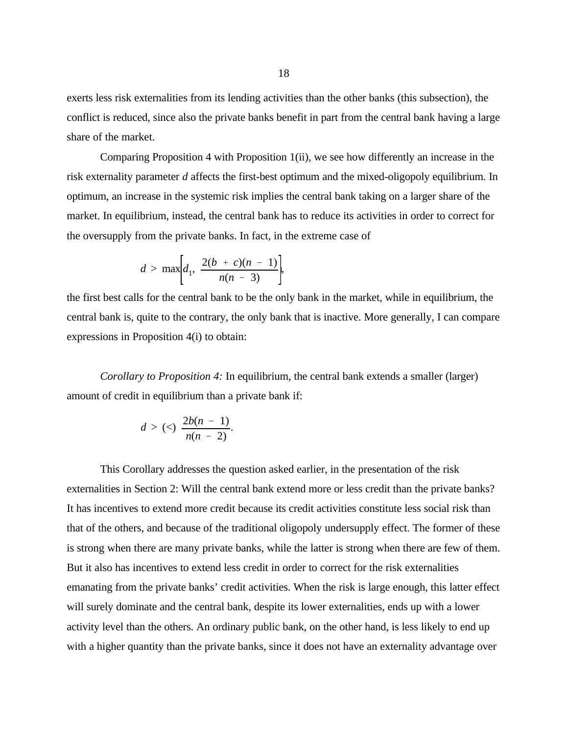exerts less risk externalities from its lending activities than the other banks (this subsection), the conflict is reduced, since also the private banks benefit in part from the central bank having a large share of the market.

Comparing Proposition 4 with Proposition 1(ii), we see how differently an increase in the risk externality parameter *d* affects the first-best optimum and the mixed-oligopoly equilibrium. In optimum, an increase in the systemic risk implies the central bank taking on a larger share of the market. In equilibrium, instead, the central bank has to reduce its activities in order to correct for the oversupply from the private banks. In fact, in the extreme case of

$$
d > \max\biggl\{d_1, \frac{2(b + c)(n - 1)}{n(n - 3)}\biggr\},\,
$$

the first best calls for the central bank to be the only bank in the market, while in equilibrium, the central bank is, quite to the contrary, the only bank that is inactive. More generally, I can compare expressions in Proposition 4(i) to obtain:

*Corollary to Proposition 4:* In equilibrium, the central bank extends a smaller (larger) amount of credit in equilibrium than a private bank if:

$$
d > (<) \frac{2b(n-1)}{n(n-2)}.
$$

This Corollary addresses the question asked earlier, in the presentation of the risk externalities in Section 2: Will the central bank extend more or less credit than the private banks? It has incentives to extend more credit because its credit activities constitute less social risk than that of the others, and because of the traditional oligopoly undersupply effect. The former of these is strong when there are many private banks, while the latter is strong when there are few of them. But it also has incentives to extend less credit in order to correct for the risk externalities emanating from the private banks' credit activities. When the risk is large enough, this latter effect will surely dominate and the central bank, despite its lower externalities, ends up with a lower activity level than the others. An ordinary public bank, on the other hand, is less likely to end up with a higher quantity than the private banks, since it does not have an externality advantage over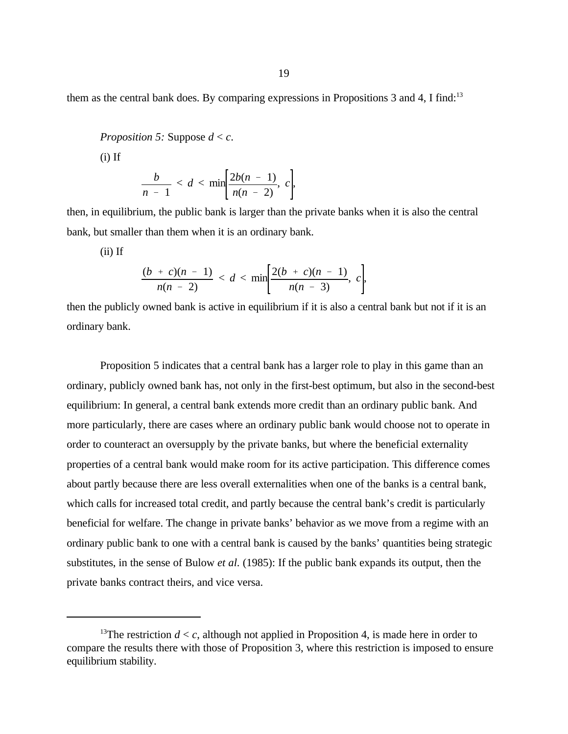them as the central bank does. By comparing expressions in Propositions 3 and 4, I find:<sup>13</sup>

*Proposition 5:* Suppose *d* < *c*.

 $(i)$  If

$$
\frac{b}{n-1}
$$

then, in equilibrium, the public bank is larger than the private banks when it is also the central bank, but smaller than them when it is an ordinary bank.

(ii) If

$$
\frac{(b + c)(n - 1)}{n(n - 2)} < d < \min\left[\frac{2(b + c)(n - 1)}{n(n - 3)}, c\right],
$$

then the publicly owned bank is active in equilibrium if it is also a central bank but not if it is an ordinary bank.

Proposition 5 indicates that a central bank has a larger role to play in this game than an ordinary, publicly owned bank has, not only in the first-best optimum, but also in the second-best equilibrium: In general, a central bank extends more credit than an ordinary public bank. And more particularly, there are cases where an ordinary public bank would choose not to operate in order to counteract an oversupply by the private banks, but where the beneficial externality properties of a central bank would make room for its active participation. This difference comes about partly because there are less overall externalities when one of the banks is a central bank, which calls for increased total credit, and partly because the central bank's credit is particularly beneficial for welfare. The change in private banks' behavior as we move from a regime with an ordinary public bank to one with a central bank is caused by the banks' quantities being strategic substitutes, in the sense of Bulow *et al.* (1985): If the public bank expands its output, then the private banks contract theirs, and vice versa.

<sup>&</sup>lt;sup>13</sup>The restriction  $d < c$ , although not applied in Proposition 4, is made here in order to compare the results there with those of Proposition 3, where this restriction is imposed to ensure equilibrium stability.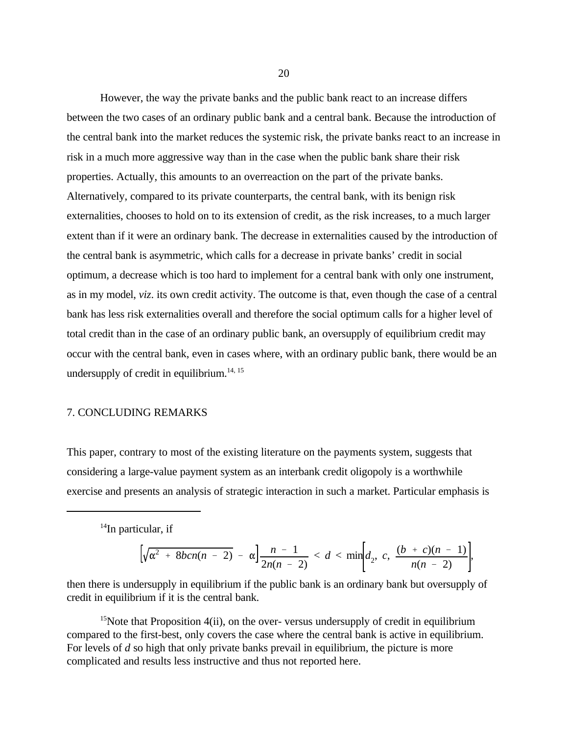However, the way the private banks and the public bank react to an increase differs between the two cases of an ordinary public bank and a central bank. Because the introduction of the central bank into the market reduces the systemic risk, the private banks react to an increase in risk in a much more aggressive way than in the case when the public bank share their risk properties. Actually, this amounts to an overreaction on the part of the private banks. Alternatively, compared to its private counterparts, the central bank, with its benign risk externalities, chooses to hold on to its extension of credit, as the risk increases, to a much larger extent than if it were an ordinary bank. The decrease in externalities caused by the introduction of the central bank is asymmetric, which calls for a decrease in private banks' credit in social optimum, a decrease which is too hard to implement for a central bank with only one instrument, as in my model, *viz*. its own credit activity. The outcome is that, even though the case of a central bank has less risk externalities overall and therefore the social optimum calls for a higher level of total credit than in the case of an ordinary public bank, an oversupply of equilibrium credit may occur with the central bank, even in cases where, with an ordinary public bank, there would be an undersupply of credit in equilibrium. $14, 15$ 

#### 7. CONCLUDING REMARKS

This paper, contrary to most of the existing literature on the payments system, suggests that considering a large-value payment system as an interbank credit oligopoly is a worthwhile exercise and presents an analysis of strategic interaction in such a market. Particular emphasis is

 $14$ In particular, if

$$
\left[\sqrt{\alpha^2 + 8bcn(n-2)} - \alpha\right] \frac{n-1}{2n(n-2)} < d < \min\left[d_2, c, \frac{(b+c)(n-1)}{n(n-2)}\right],
$$

then there is undersupply in equilibrium if the public bank is an ordinary bank but oversupply of credit in equilibrium if it is the central bank.

<sup>15</sup>Note that Proposition  $4(ii)$ , on the over-versus undersupply of credit in equilibrium compared to the first-best, only covers the case where the central bank is active in equilibrium. For levels of *d* so high that only private banks prevail in equilibrium, the picture is more complicated and results less instructive and thus not reported here.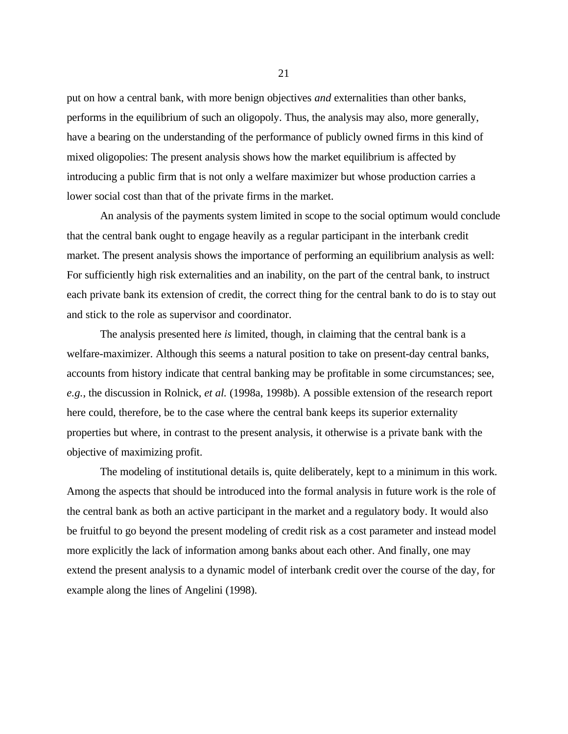put on how a central bank, with more benign objectives *and* externalities than other banks, performs in the equilibrium of such an oligopoly. Thus, the analysis may also, more generally, have a bearing on the understanding of the performance of publicly owned firms in this kind of mixed oligopolies: The present analysis shows how the market equilibrium is affected by introducing a public firm that is not only a welfare maximizer but whose production carries a lower social cost than that of the private firms in the market.

An analysis of the payments system limited in scope to the social optimum would conclude that the central bank ought to engage heavily as a regular participant in the interbank credit market. The present analysis shows the importance of performing an equilibrium analysis as well: For sufficiently high risk externalities and an inability, on the part of the central bank, to instruct each private bank its extension of credit, the correct thing for the central bank to do is to stay out and stick to the role as supervisor and coordinator.

The analysis presented here *is* limited, though, in claiming that the central bank is a welfare-maximizer. Although this seems a natural position to take on present-day central banks, accounts from history indicate that central banking may be profitable in some circumstances; see, *e.g.*, the discussion in Rolnick, *et al.* (1998a, 1998b). A possible extension of the research report here could, therefore, be to the case where the central bank keeps its superior externality properties but where, in contrast to the present analysis, it otherwise is a private bank with the objective of maximizing profit.

The modeling of institutional details is, quite deliberately, kept to a minimum in this work. Among the aspects that should be introduced into the formal analysis in future work is the role of the central bank as both an active participant in the market and a regulatory body. It would also be fruitful to go beyond the present modeling of credit risk as a cost parameter and instead model more explicitly the lack of information among banks about each other. And finally, one may extend the present analysis to a dynamic model of interbank credit over the course of the day, for example along the lines of Angelini (1998).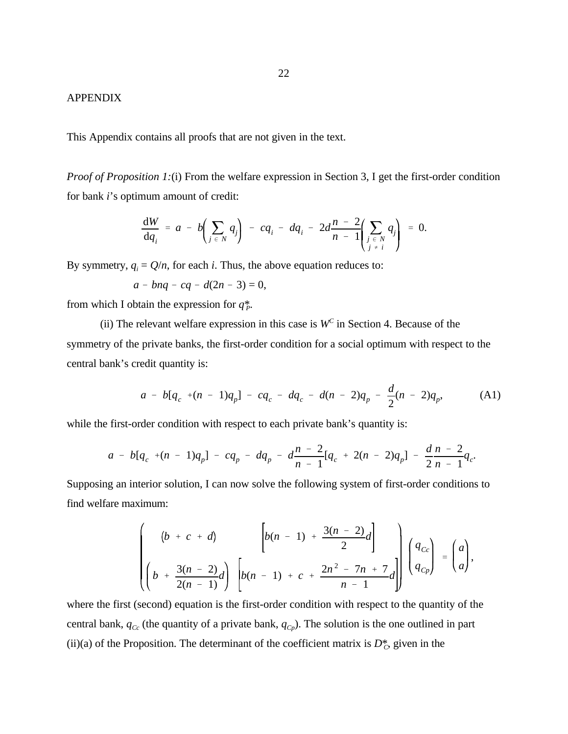#### APPENDIX

This Appendix contains all proofs that are not given in the text.

*Proof of Proposition 1:*(i) From the welfare expression in Section 3, I get the first-order condition for bank *i*'s optimum amount of credit:

$$
\frac{dW}{dq_i} = a - b \left( \sum_{j \in N} q_j \right) - cq_i - dq_i - 2d \frac{n-2}{n-1} \left( \sum_{\substack{j \in N \\ j \neq i}} q_j \right) = 0.
$$

By symmetry,  $q_i = Q/n$ , for each *i*. Thus, the above equation reduces to:

$$
a - bnq - cq - d(2n - 3) = 0,
$$

from which I obtain the expression for  $q_P^*$ .

(ii) The relevant welfare expression in this case is  $W<sup>c</sup>$  in Section 4. Because of the symmetry of the private banks, the first-order condition for a social optimum with respect to the central bank's credit quantity is:

$$
a - b[q_c + (n-1)q_p] - cq_c - dq_c - d(n-2)q_p - \frac{d}{2}(n-2)q_p, \qquad (A1)
$$

.

while the first-order condition with respect to each private bank's quantity is:

$$
a - b[q_c + (n-1)q_p] - cq_p - dq_p - d\frac{n-2}{n-1}[q_c + 2(n-2)q_p] - \frac{d n-2}{2n-1}q_c
$$

Supposing an interior solution, I can now solve the following system of first-order conditions to find welfare maximum:

$$
\begin{pmatrix} (b + c + d) & \left[ b(n - 1) + \frac{3(n - 2)}{2}d \right] \\ \left( b + \frac{3(n - 2)}{2(n - 1)}d \right) & \left[ b(n - 1) + c + \frac{2n^2 - 7n + 7}{n - 1}d \right] \end{pmatrix} \begin{pmatrix} q_{C_0} \\ q_{C_p} \end{pmatrix} = \begin{pmatrix} a \\ a \end{pmatrix},
$$

where the first (second) equation is the first-order condition with respect to the quantity of the central bank,  $q_{c}$  (the quantity of a private bank,  $q_{c}$ ). The solution is the one outlined in part (ii)(a) of the Proposition. The determinant of the coefficient matrix is  $D_{\mathcal{C}}^*$ , given in the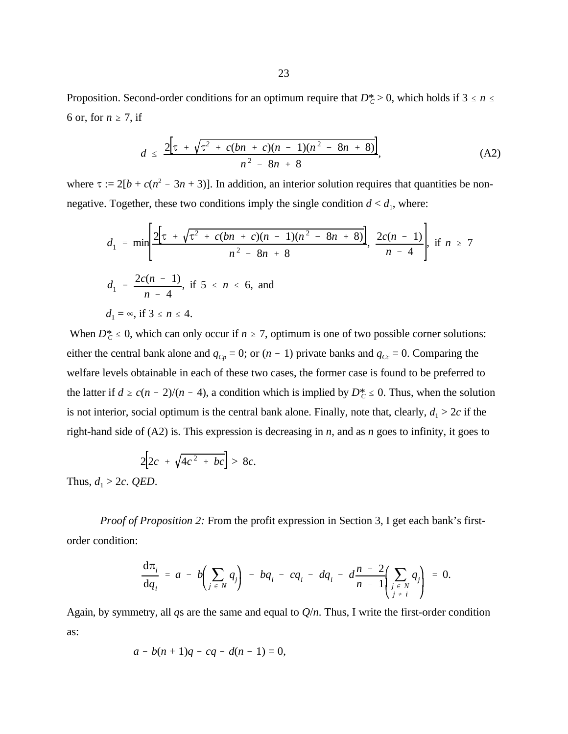Proposition. Second-order conditions for an optimum require that  $D_C^* > 0$ , which holds if  $3 \le n \le n$ 6 or, for  $n \ge 7$ , if

$$
d \leq \frac{2[\tau + \sqrt{\tau^2 + c(bn + c)(n - 1)(n^2 - 8n + 8)}]}{n^2 - 8n + 8},
$$
 (A2)

where  $\tau := 2[b + c(n^2 - 3n + 3)]$ . In addition, an interior solution requires that quantities be nonnegative. Together, these two conditions imply the single condition  $d < d_1$ , where:

$$
d_1 = \min\left[\frac{2\left[\tau + \sqrt{\tau^2 + c(bn + c)(n - 1)(n^2 - 8n + 8)}\right]}{n^2 - 8n + 8}, \frac{2c(n - 1)}{n - 4}\right], \text{ if } n \ge 7
$$
  

$$
d_1 = \frac{2c(n - 1)}{n - 4}, \text{ if } 5 \le n \le 6, \text{ and}
$$
  

$$
d_1 = \infty, \text{ if } 3 \le n \le 4.
$$

When  $D_C^* \leq 0$ , which can only occur if  $n \geq 7$ , optimum is one of two possible corner solutions: either the central bank alone and  $q_{C_p} = 0$ ; or  $(n - 1)$  private banks and  $q_{C_c} = 0$ . Comparing the welfare levels obtainable in each of these two cases, the former case is found to be preferred to the latter if  $d \ge c(n-2)/(n-4)$ , a condition which is implied by  $D_c^* \le 0$ . Thus, when the solution is not interior, social optimum is the central bank alone. Finally, note that, clearly,  $d_1 > 2c$  if the right-hand side of (A2) is. This expression is decreasing in *n*, and as *n* goes to infinity, it goes to

$$
2[2c + \sqrt{4c^2 + bc}] > 8c.
$$

Thus,  $d_1 > 2c$ . *QED*.

*Proof of Proposition 2:* From the profit expression in Section 3, I get each bank's firstorder condition:

$$
\frac{d\pi_i}{dq_i} = a - b \left( \sum_{j \in N} q_j \right) - b q_i - c q_i - d q_i - d \frac{n-2}{n-1} \left( \sum_{\substack{j \in N \\ j \neq i}} q_j \right) = 0.
$$

Again, by symmetry, all *q*s are the same and equal to *Q*/*n*. Thus, I write the first-order condition as:

$$
a - b(n + 1)q - cq - d(n - 1) = 0,
$$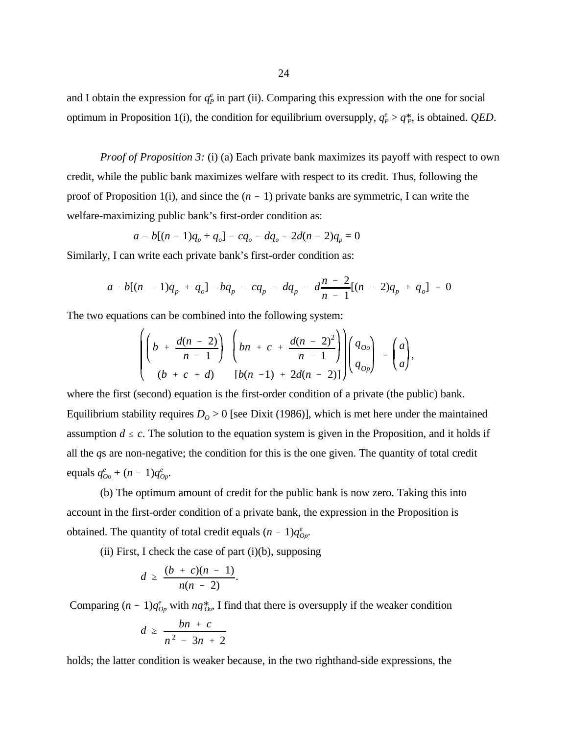and I obtain the expression for  $q_P^e$  in part (ii). Comparing this expression with the one for social optimum in Proposition 1(i), the condition for equilibrium oversupply,  $q_P^e > q_P^*$ , is obtained. *QED*.

*Proof of Proposition 3:* (i) (a) Each private bank maximizes its payoff with respect to own credit, while the public bank maximizes welfare with respect to its credit. Thus, following the proof of Proposition 1(i), and since the  $(n - 1)$  private banks are symmetric, I can write the welfare-maximizing public bank's first-order condition as:

$$
a - b[(n-1)q_p + q_o] - cq_o - dq_o - 2d(n-2)q_p = 0
$$

Similarly, I can write each private bank's first-order condition as:

$$
a - b[(n - 1)q_p + q_o] - bq_p - cq_p - dq_p - d\frac{n - 2}{n - 1}[(n - 2)q_p + q_o] = 0
$$

The two equations can be combined into the following system:

$$
\left(\left(b + \frac{d(n-2)}{n-1}\right) \left(bn + c + \frac{d(n-2)^2}{n-1}\right)\right)\left(\frac{q_{oo}}{q_{op}}\right) = \begin{pmatrix} a \\ a \end{pmatrix},
$$
  
(b + c + d) 
$$
\left[b(n-1) + 2d(n-2)\right]\left(\frac{q_{op}}{q_{op}}\right)
$$

where the first (second) equation is the first-order condition of a private (the public) bank. Equilibrium stability requires  $D<sub>O</sub> > 0$  [see Dixit (1986)], which is met here under the maintained assumption  $d \leq c$ . The solution to the equation system is given in the Proposition, and it holds if all the *q*s are non-negative; the condition for this is the one given. The quantity of total credit equals  $q_{00}^e + (n-1)q_{0p}^e$ .

(b) The optimum amount of credit for the public bank is now zero. Taking this into account in the first-order condition of a private bank, the expression in the Proposition is obtained. The quantity of total credit equals  $(n - 1)q_{0}^e$ .

(ii) First, I check the case of part  $(i)(b)$ , supposing

$$
d \geq \frac{(b + c)(n - 1)}{n(n - 2)}.
$$

Comparing  $(n - 1)q_{Op}^e$  with  $nq_{Qo}^*$ , I find that there is oversupply if the weaker condition

$$
d \geq \frac{bn + c}{n^2 - 3n + 2}
$$

holds; the latter condition is weaker because, in the two righthand-side expressions, the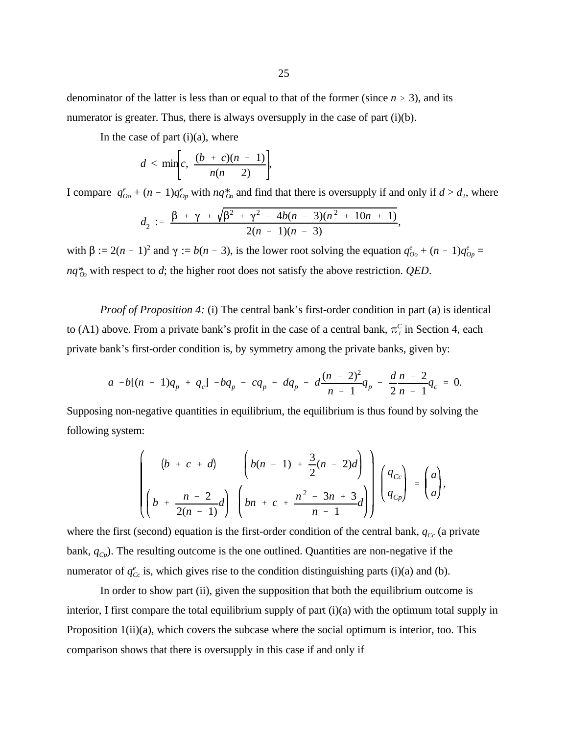denominator of the latter is less than or equal to that of the former (since  $n \geq 3$ ), and its numerator is greater. Thus, there is always oversupply in the case of part (i)(b).

In the case of part  $(i)(a)$ , where

$$
d < \min\left[c, \frac{(b + c)(n - 1)}{n(n - 2)}\right],
$$

I compare  $q_{00}^e + (n-1)q_{0p}^e$  with  $nq_{00}^*$  and find that there is oversupply if and only if  $d > d_2$ , where

$$
d_2 := \frac{\beta + \gamma + \sqrt{\beta^2 + \gamma^2 - 4b(n - 3)(n^2 + 10n + 1)}}{2(n - 1)(n - 3)},
$$

with  $\beta := 2(n-1)^2$  and  $\gamma := b(n-3)$ , is the lower root solving the equation  $q_{oo}^e + (n-1)q_{op}^e =$  $nq_{oo}^*$  with respect to *d*; the higher root does not satisfy the above restriction. *QED*.

*Proof of Proposition 4:* (i) The central bank's first-order condition in part (a) is identical to (A1) above. From a private bank's profit in the case of a central bank,  $\pi_i^C$  in Section 4, each private bank's first-order condition is, by symmetry among the private banks, given by:

$$
a - b[(n - 1)q_p + q_c] - bq_p - cq_p - dq_p - d\frac{(n - 2)^2}{n - 1}q_p - \frac{d n - 2}{2n - 1}q_c = 0.
$$

Supposing non-negative quantities in equilibrium, the equilibrium is thus found by solving the following system:

$$
\left(\begin{array}{cc} (b + c + d) & \left(b(n - 1) + \frac{3}{2}(n - 2)d\right) \\ \left(b + \frac{n - 2}{2(n - 1)}d\right) & \left(bn + c + \frac{n^2 - 3n + 3}{n - 1}d\right) \end{array}\right) \left(\begin{array}{c} q_{C_c} \\ q_{Cp} \end{array}\right) = \left(\begin{array}{c} a \\ a \end{array}\right),
$$

where the first (second) equation is the first-order condition of the central bank,  $q_{\text{c}c}$  (a private bank, *qCp*). The resulting outcome is the one outlined. Quantities are non-negative if the numerator of  $q_{\text{cc}}^e$  is, which gives rise to the condition distinguishing parts (i)(a) and (b).

In order to show part (ii), given the supposition that both the equilibrium outcome is interior, I first compare the total equilibrium supply of part (i)(a) with the optimum total supply in Proposition  $1(ii)(a)$ , which covers the subcase where the social optimum is interior, too. This comparison shows that there is oversupply in this case if and only if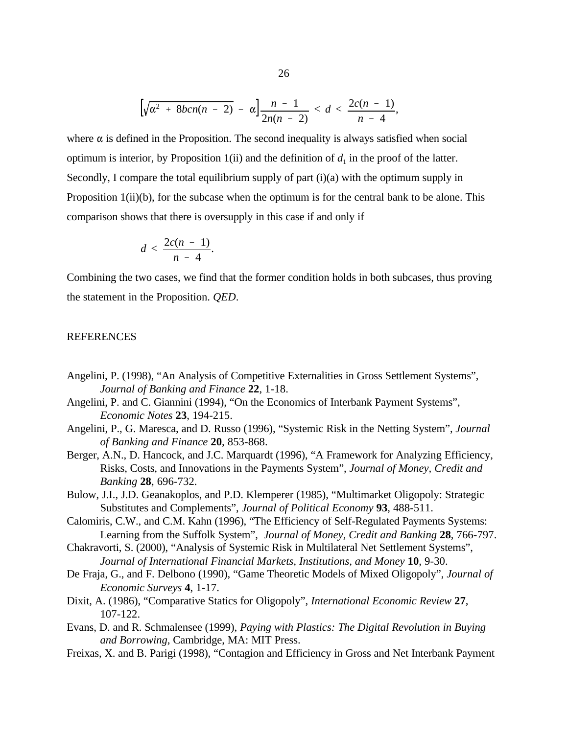$$
\left[\sqrt{\alpha^2 + 8bcn(n-2)} - \alpha\right] \frac{n-1}{2n(n-2)} < d < \frac{2c(n-1)}{n-4},
$$

where  $\alpha$  is defined in the Proposition. The second inequality is always satisfied when social optimum is interior, by Proposition 1(ii) and the definition of  $d_1$  in the proof of the latter. Secondly, I compare the total equilibrium supply of part (i)(a) with the optimum supply in Proposition 1(ii)(b), for the subcase when the optimum is for the central bank to be alone. This comparison shows that there is oversupply in this case if and only if

$$
d < \frac{2c(n-1)}{n-4}.
$$

Combining the two cases, we find that the former condition holds in both subcases, thus proving the statement in the Proposition. *QED*.

#### **REFERENCES**

- Angelini, P. (1998), "An Analysis of Competitive Externalities in Gross Settlement Systems", *Journal of Banking and Finance* **22**, 1-18.
- Angelini, P. and C. Giannini (1994), "On the Economics of Interbank Payment Systems", *Economic Notes* **23**, 194-215.
- Angelini, P., G. Maresca, and D. Russo (1996), "Systemic Risk in the Netting System", *Journal of Banking and Finance* **20**, 853-868.
- Berger, A.N., D. Hancock, and J.C. Marquardt (1996), "A Framework for Analyzing Efficiency, Risks, Costs, and Innovations in the Payments System", *Journal of Money, Credit and Banking* **28**, 696-732.
- Bulow, J.I., J.D. Geanakoplos, and P.D. Klemperer (1985), "Multimarket Oligopoly: Strategic Substitutes and Complements", *Journal of Political Economy* **93**, 488-511.
- Calomiris, C.W., and C.M. Kahn (1996), "The Efficiency of Self-Regulated Payments Systems: Learning from the Suffolk System", *Journal of Money, Credit and Banking* **28**, 766-797.
- Chakravorti, S. (2000), "Analysis of Systemic Risk in Multilateral Net Settlement Systems", *Journal of International Financial Markets, Institutions, and Money* **10**, 9-30.
- De Fraja, G., and F. Delbono (1990), "Game Theoretic Models of Mixed Oligopoly", *Journal of Economic Surveys* **4**, 1-17.
- Dixit, A. (1986), "Comparative Statics for Oligopoly", *International Economic Review* **27**, 107-122.
- Evans, D. and R. Schmalensee (1999), *Paying with Plastics: The Digital Revolution in Buying and Borrowing*, Cambridge, MA: MIT Press.
- Freixas, X. and B. Parigi (1998), "Contagion and Efficiency in Gross and Net Interbank Payment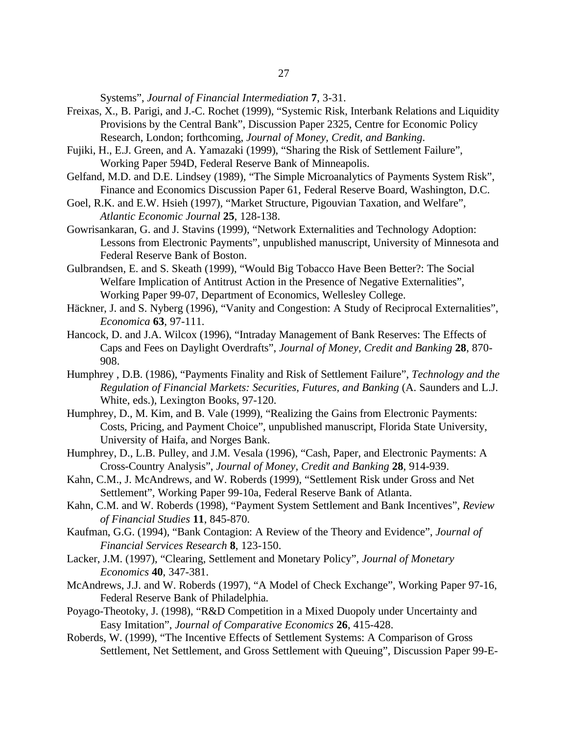Systems", *Journal of Financial Intermediation* **7**, 3-31.

- Freixas, X., B. Parigi, and J.-C. Rochet (1999), "Systemic Risk, Interbank Relations and Liquidity Provisions by the Central Bank", Discussion Paper 2325, Centre for Economic Policy Research, London; forthcoming, *Journal of Money, Credit, and Banking*.
- Fujiki, H., E.J. Green, and A. Yamazaki (1999), "Sharing the Risk of Settlement Failure", Working Paper 594D, Federal Reserve Bank of Minneapolis.
- Gelfand, M.D. and D.E. Lindsey (1989)*,* "The Simple Microanalytics of Payments System Risk", Finance and Economics Discussion Paper 61, Federal Reserve Board, Washington, D.C.
- Goel, R.K. and E.W. Hsieh (1997), "Market Structure, Pigouvian Taxation, and Welfare", *Atlantic Economic Journal* **25**, 128-138.
- Gowrisankaran, G. and J. Stavins (1999), "Network Externalities and Technology Adoption: Lessons from Electronic Payments", unpublished manuscript, University of Minnesota and Federal Reserve Bank of Boston.
- Gulbrandsen, E. and S. Skeath (1999), "Would Big Tobacco Have Been Better?: The Social Welfare Implication of Antitrust Action in the Presence of Negative Externalities", Working Paper 99-07, Department of Economics, Wellesley College.
- Häckner, J. and S. Nyberg (1996), "Vanity and Congestion: A Study of Reciprocal Externalities", *Economica* **63**, 97-111.
- Hancock, D. and J.A. Wilcox (1996), "Intraday Management of Bank Reserves: The Effects of Caps and Fees on Daylight Overdrafts", *Journal of Money, Credit and Banking* **28**, 870- 908.
- Humphrey , D.B. (1986), "Payments Finality and Risk of Settlement Failure", *Technology and the Regulation of Financial Markets: Securities, Futures, and Banking* (A. Saunders and L.J. White, eds.), Lexington Books, 97-120.
- Humphrey, D., M. Kim, and B. Vale (1999), "Realizing the Gains from Electronic Payments: Costs, Pricing, and Payment Choice", unpublished manuscript, Florida State University, University of Haifa, and Norges Bank.
- Humphrey, D., L.B. Pulley, and J.M. Vesala (1996), "Cash, Paper, and Electronic Payments: A Cross-Country Analysis", *Journal of Money, Credit and Banking* **28**, 914-939.
- Kahn, C.M., J. McAndrews, and W. Roberds (1999), "Settlement Risk under Gross and Net Settlement", Working Paper 99-10a, Federal Reserve Bank of Atlanta.
- Kahn, C.M. and W. Roberds (1998), "Payment System Settlement and Bank Incentives", *Review of Financial Studies* **11**, 845-870.
- Kaufman, G.G. (1994), "Bank Contagion: A Review of the Theory and Evidence", *Journal of Financial Services Research* **8**, 123-150.
- Lacker, J.M. (1997), "Clearing, Settlement and Monetary Policy", *Journal of Monetary Economics* **40**, 347-381.
- McAndrews, J.J. and W. Roberds (1997), "A Model of Check Exchange", Working Paper 97-16, Federal Reserve Bank of Philadelphia.
- Poyago-Theotoky, J. (1998), "R&D Competition in a Mixed Duopoly under Uncertainty and Easy Imitation", *Journal of Comparative Economics* **26**, 415-428.
- Roberds, W. (1999), "The Incentive Effects of Settlement Systems: A Comparison of Gross Settlement, Net Settlement, and Gross Settlement with Queuing", Discussion Paper 99-E-